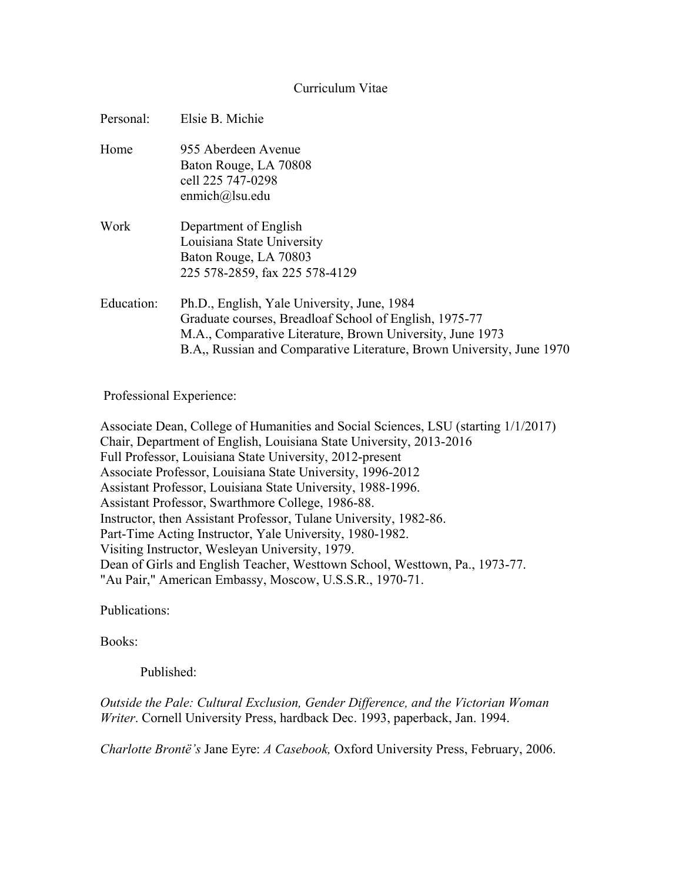## Curriculum Vitae

| Personal:  | Elsie B. Michie                                                                                                                                                                                                                             |
|------------|---------------------------------------------------------------------------------------------------------------------------------------------------------------------------------------------------------------------------------------------|
| Home       | 955 Aberdeen Avenue<br>Baton Rouge, LA 70808<br>cell 225 747-0298<br>enmich $@$ lsu.edu                                                                                                                                                     |
| Work       | Department of English<br>Louisiana State University<br>Baton Rouge, LA 70803<br>225 578-2859, fax 225 578-4129                                                                                                                              |
| Education: | Ph.D., English, Yale University, June, 1984<br>Graduate courses, Breadloaf School of English, 1975-77<br>M.A., Comparative Literature, Brown University, June 1973<br>B.A., Russian and Comparative Literature, Brown University, June 1970 |

Professional Experience:

Associate Dean, College of Humanities and Social Sciences, LSU (starting 1/1/2017) Chair, Department of English, Louisiana State University, 2013-2016 Full Professor, Louisiana State University, 2012-present Associate Professor, Louisiana State University, 1996-2012 Assistant Professor, Louisiana State University, 1988-1996. Assistant Professor, Swarthmore College, 1986-88. Instructor, then Assistant Professor, Tulane University, 1982-86. Part-Time Acting Instructor, Yale University, 1980-1982. Visiting Instructor, Wesleyan University, 1979. Dean of Girls and English Teacher, Westtown School, Westtown, Pa., 1973-77. "Au Pair," American Embassy, Moscow, U.S.S.R., 1970-71.

Publications:

Books:

Published:

*Outside the Pale: Cultural Exclusion, Gender Difference, and the Victorian Woman Writer*. Cornell University Press, hardback Dec. 1993, paperback, Jan. 1994.

*Charlotte Brontë's* Jane Eyre: *A Casebook,* Oxford University Press, February, 2006.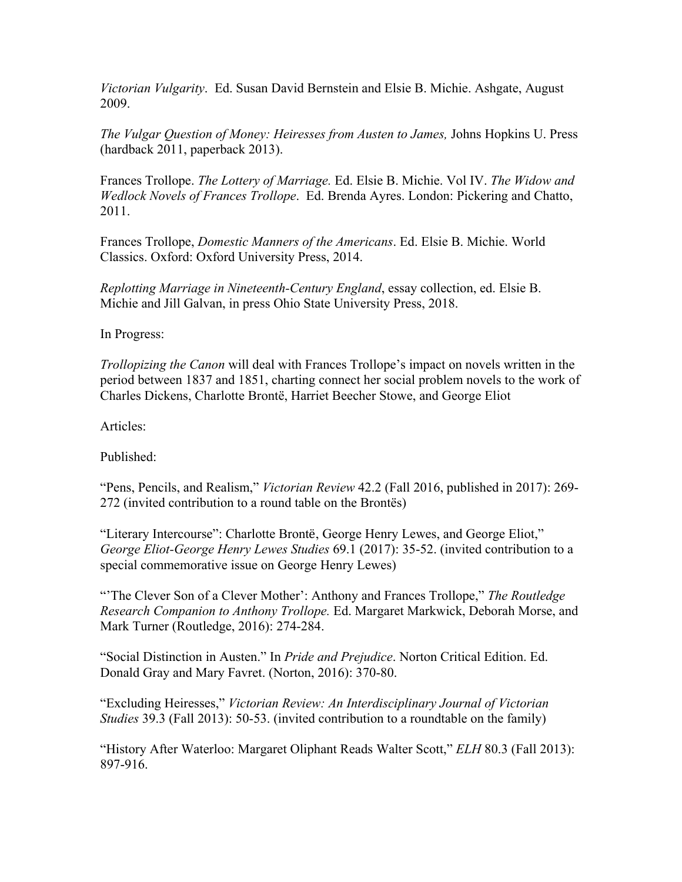*Victorian Vulgarity*. Ed. Susan David Bernstein and Elsie B. Michie. Ashgate, August 2009.

*The Vulgar Question of Money: Heiresses from Austen to James,* Johns Hopkins U. Press (hardback 2011, paperback 2013).

Frances Trollope. *The Lottery of Marriage.* Ed. Elsie B. Michie. Vol IV. *The Widow and Wedlock Novels of Frances Trollope*. Ed. Brenda Ayres. London: Pickering and Chatto, 2011.

Frances Trollope, *Domestic Manners of the Americans*. Ed. Elsie B. Michie. World Classics. Oxford: Oxford University Press, 2014.

*Replotting Marriage in Nineteenth-Century England*, essay collection, ed. Elsie B. Michie and Jill Galvan, in press Ohio State University Press, 2018.

In Progress:

*Trollopizing the Canon* will deal with Frances Trollope's impact on novels written in the period between 1837 and 1851, charting connect her social problem novels to the work of Charles Dickens, Charlotte Brontë, Harriet Beecher Stowe, and George Eliot

Articles:

Published:

"Pens, Pencils, and Realism," *Victorian Review* 42.2 (Fall 2016, published in 2017): 269- 272 (invited contribution to a round table on the Brontës)

"Literary Intercourse": Charlotte Brontë, George Henry Lewes, and George Eliot," *George Eliot-George Henry Lewes Studies* 69.1 (2017): 35-52. (invited contribution to a special commemorative issue on George Henry Lewes)

"'The Clever Son of a Clever Mother': Anthony and Frances Trollope," *The Routledge Research Companion to Anthony Trollope.* Ed. Margaret Markwick, Deborah Morse, and Mark Turner (Routledge, 2016): 274-284.

"Social Distinction in Austen." In *Pride and Prejudice*. Norton Critical Edition. Ed. Donald Gray and Mary Favret. (Norton, 2016): 370-80.

"Excluding Heiresses," *Victorian Review: An Interdisciplinary Journal of Victorian Studies* 39.3 (Fall 2013): 50-53. (invited contribution to a roundtable on the family)

"History After Waterloo: Margaret Oliphant Reads Walter Scott," *ELH* 80.3 (Fall 2013): 897-916.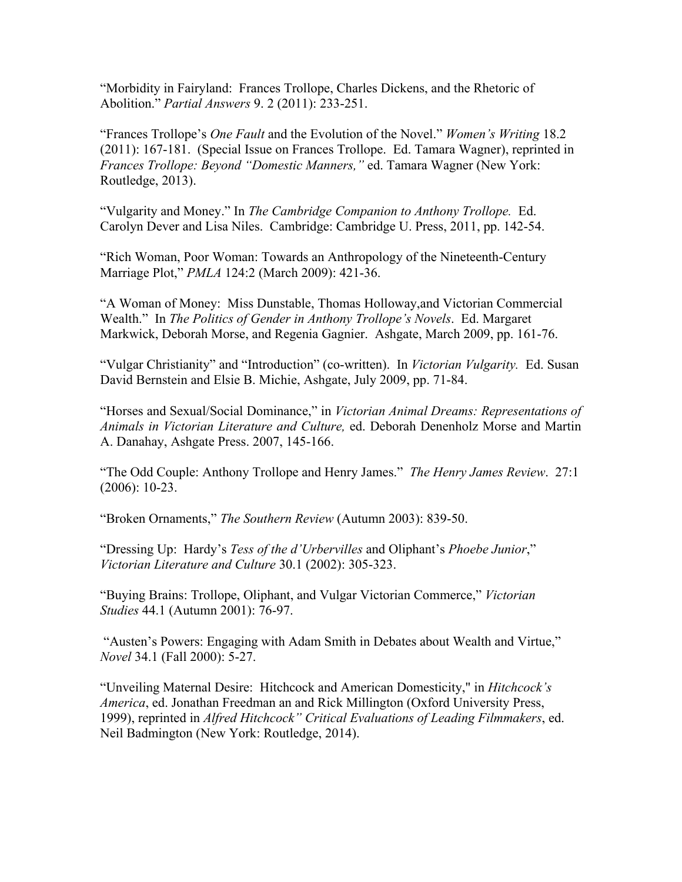"Morbidity in Fairyland: Frances Trollope, Charles Dickens, and the Rhetoric of Abolition." *Partial Answers* 9. 2 (2011): 233-251.

"Frances Trollope's *One Fault* and the Evolution of the Novel." *Women's Writing* 18.2 (2011): 167-181. (Special Issue on Frances Trollope. Ed. Tamara Wagner), reprinted in *Frances Trollope: Beyond "Domestic Manners,"* ed. Tamara Wagner (New York: Routledge, 2013).

"Vulgarity and Money." In *The Cambridge Companion to Anthony Trollope.* Ed. Carolyn Dever and Lisa Niles. Cambridge: Cambridge U. Press, 2011, pp. 142-54.

"Rich Woman, Poor Woman: Towards an Anthropology of the Nineteenth-Century Marriage Plot," *PMLA* 124:2 (March 2009): 421-36.

"A Woman of Money: Miss Dunstable, Thomas Holloway,and Victorian Commercial Wealth." In *The Politics of Gender in Anthony Trollope's Novels*. Ed. Margaret Markwick, Deborah Morse, and Regenia Gagnier. Ashgate, March 2009, pp. 161-76.

"Vulgar Christianity" and "Introduction" (co-written). In *Victorian Vulgarity.* Ed. Susan David Bernstein and Elsie B. Michie, Ashgate, July 2009, pp. 71-84.

"Horses and Sexual/Social Dominance," in *Victorian Animal Dreams: Representations of Animals in Victorian Literature and Culture,* ed. Deborah Denenholz Morse and Martin A. Danahay, Ashgate Press. 2007, 145-166.

"The Odd Couple: Anthony Trollope and Henry James." *The Henry James Review*. 27:1 (2006): 10-23.

"Broken Ornaments," *The Southern Review* (Autumn 2003): 839-50.

"Dressing Up: Hardy's *Tess of the d'Urbervilles* and Oliphant's *Phoebe Junior*," *Victorian Literature and Culture* 30.1 (2002): 305-323.

"Buying Brains: Trollope, Oliphant, and Vulgar Victorian Commerce," *Victorian Studies* 44.1 (Autumn 2001): 76-97.

"Austen's Powers: Engaging with Adam Smith in Debates about Wealth and Virtue," *Novel* 34.1 (Fall 2000): 5-27.

"Unveiling Maternal Desire: Hitchcock and American Domesticity," in *Hitchcock's America*, ed. Jonathan Freedman an and Rick Millington (Oxford University Press, 1999), reprinted in *Alfred Hitchcock" Critical Evaluations of Leading Filmmakers*, ed. Neil Badmington (New York: Routledge, 2014).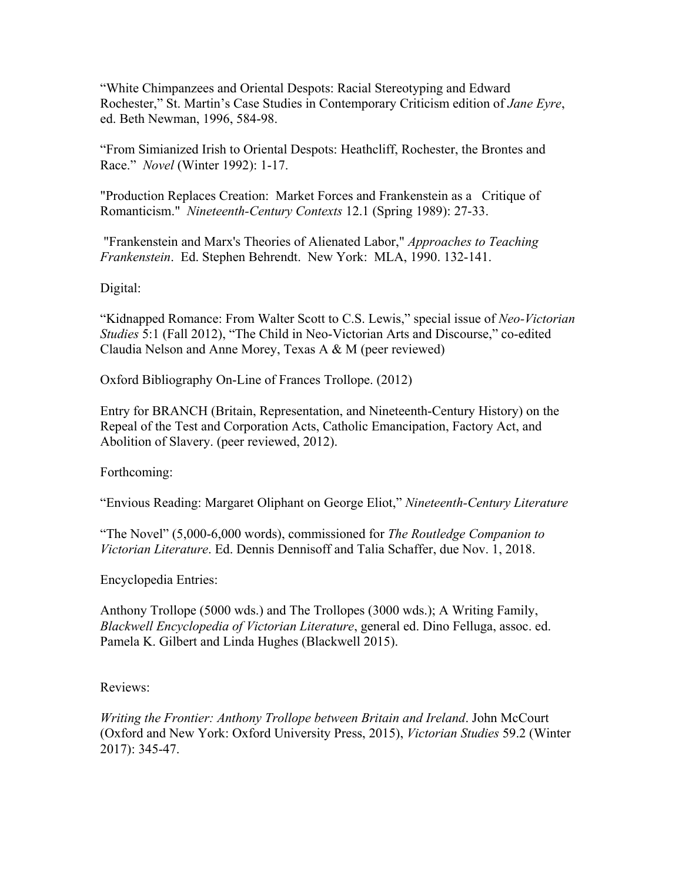"White Chimpanzees and Oriental Despots: Racial Stereotyping and Edward Rochester," St. Martin's Case Studies in Contemporary Criticism edition of *Jane Eyre*, ed. Beth Newman, 1996, 584-98.

"From Simianized Irish to Oriental Despots: Heathcliff, Rochester, the Brontes and Race." *Novel* (Winter 1992): 1-17.

"Production Replaces Creation: Market Forces and Frankenstein as a Critique of Romanticism." *Nineteenth-Century Contexts* 12.1 (Spring 1989): 27-33.

"Frankenstein and Marx's Theories of Alienated Labor," *Approaches to Teaching Frankenstein*. Ed. Stephen Behrendt. New York: MLA, 1990. 132-141.

Digital:

"Kidnapped Romance: From Walter Scott to C.S. Lewis," special issue of *Neo-Victorian Studies* 5:1 (Fall 2012), "The Child in Neo-Victorian Arts and Discourse," co-edited Claudia Nelson and Anne Morey, Texas A & M (peer reviewed)

Oxford Bibliography On-Line of Frances Trollope. (2012)

Entry for BRANCH (Britain, Representation, and Nineteenth-Century History) on the Repeal of the Test and Corporation Acts, Catholic Emancipation, Factory Act, and Abolition of Slavery. (peer reviewed, 2012).

Forthcoming:

"Envious Reading: Margaret Oliphant on George Eliot," *Nineteenth-Century Literature*

"The Novel" (5,000-6,000 words), commissioned for *The Routledge Companion to Victorian Literature*. Ed. Dennis Dennisoff and Talia Schaffer, due Nov. 1, 2018.

Encyclopedia Entries:

Anthony Trollope (5000 wds.) and The Trollopes (3000 wds.); A Writing Family, *Blackwell Encyclopedia of Victorian Literature*, general ed. Dino Felluga, assoc. ed. Pamela K. Gilbert and Linda Hughes (Blackwell 2015).

## Reviews:

*Writing the Frontier: Anthony Trollope between Britain and Ireland*. John McCourt (Oxford and New York: Oxford University Press, 2015), *Victorian Studies* 59.2 (Winter 2017): 345-47.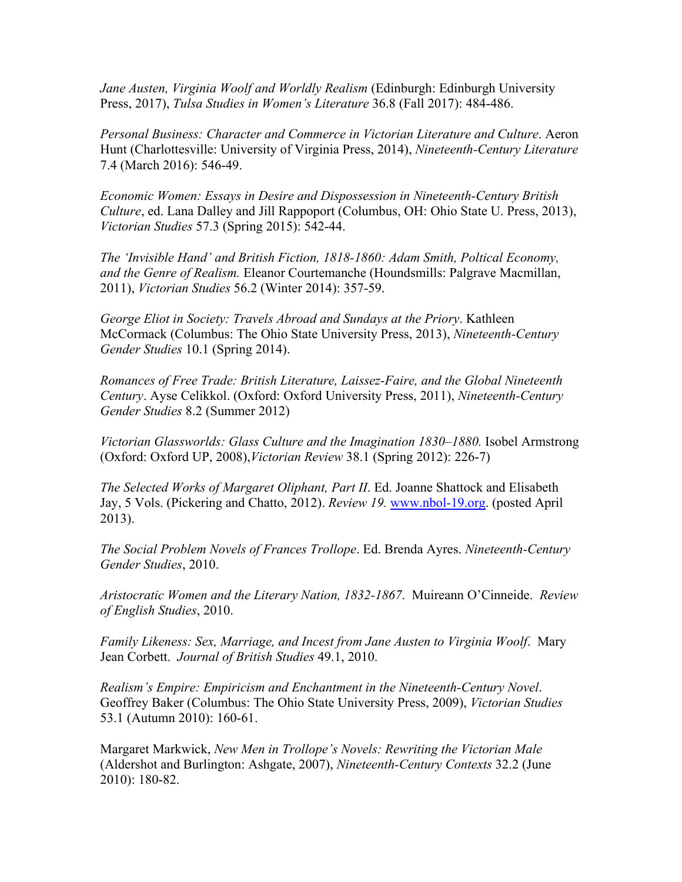*Jane Austen, Virginia Woolf and Worldly Realism* (Edinburgh: Edinburgh University Press, 2017), *Tulsa Studies in Women's Literature* 36.8 (Fall 2017): 484-486.

*Personal Business: Character and Commerce in Victorian Literature and Culture*. Aeron Hunt (Charlottesville: University of Virginia Press, 2014), *Nineteenth-Century Literature*  7.4 (March 2016): 546-49.

*Economic Women: Essays in Desire and Dispossession in Nineteenth-Century British Culture*, ed. Lana Dalley and Jill Rappoport (Columbus, OH: Ohio State U. Press, 2013), *Victorian Studies* 57.3 (Spring 2015): 542-44.

*The 'Invisible Hand' and British Fiction, 1818-1860: Adam Smith, Poltical Economy, and the Genre of Realism.* Eleanor Courtemanche (Houndsmills: Palgrave Macmillan, 2011), *Victorian Studies* 56.2 (Winter 2014): 357-59.

*George Eliot in Society: Travels Abroad and Sundays at the Priory*. Kathleen McCormack (Columbus: The Ohio State University Press, 2013), *Nineteenth-Century Gender Studies* 10.1 (Spring 2014).

*Romances of Free Trade: British Literature, Laissez-Faire, and the Global Nineteenth Century*. Ayse Celikkol. (Oxford: Oxford University Press, 2011), *Nineteenth-Century Gender Studies* 8.2 (Summer 2012)

*Victorian Glassworlds: Glass Culture and the Imagination 1830–1880.* Isobel Armstrong (Oxford: Oxford UP, 2008),*Victorian Review* 38.1 (Spring 2012): 226-7)

*The Selected Works of Margaret Oliphant, Part II*. Ed. Joanne Shattock and Elisabeth Jay, 5 Vols. (Pickering and Chatto, 2012). *Review 19.* [www.nbol-19.org.](http://www.nbol-19.org/) (posted April 2013).

*The Social Problem Novels of Frances Trollope*. Ed. Brenda Ayres. *Nineteenth-Century Gender Studies*, 2010.

*Aristocratic Women and the Literary Nation, 1832-1867*. Muireann O'Cinneide. *Review of English Studies*, 2010.

*Family Likeness: Sex, Marriage, and Incest from Jane Austen to Virginia Woolf*. Mary Jean Corbett. *Journal of British Studies* 49.1, 2010.

*Realism's Empire: Empiricism and Enchantment in the Nineteenth-Century Novel*. Geoffrey Baker (Columbus: The Ohio State University Press, 2009), *Victorian Studies*  53.1 (Autumn 2010): 160-61.

Margaret Markwick, *New Men in Trollope's Novels: Rewriting the Victorian Male* (Aldershot and Burlington: Ashgate, 2007), *Nineteenth-Century Contexts* 32.2 (June 2010): 180-82.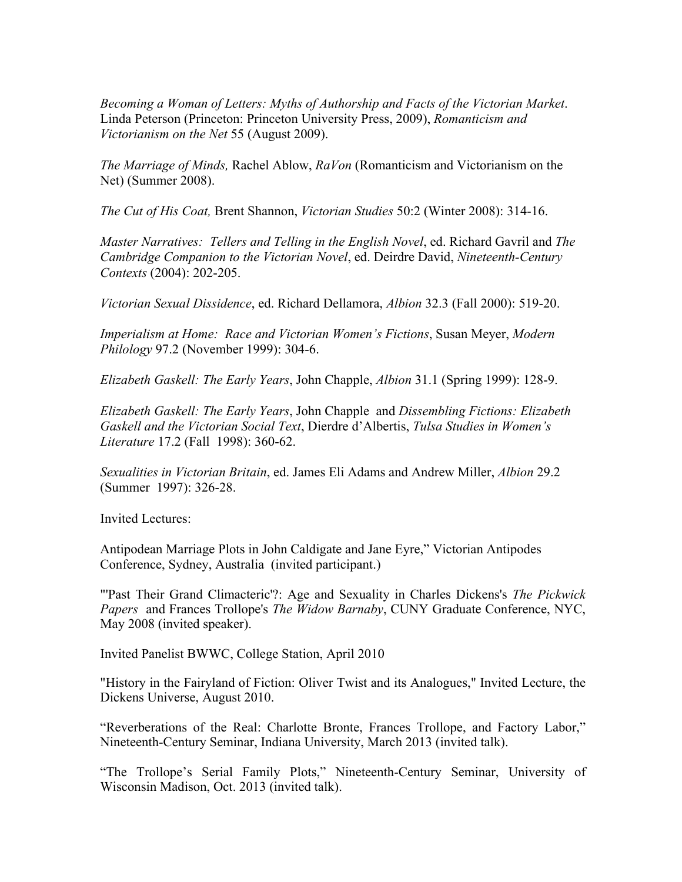*Becoming a Woman of Letters: Myths of Authorship and Facts of the Victorian Market*. Linda Peterson (Princeton: Princeton University Press, 2009), *Romanticism and Victorianism on the Net* 55 (August 2009).

*The Marriage of Minds,* Rachel Ablow, *RaVon* (Romanticism and Victorianism on the Net) (Summer 2008).

*The Cut of His Coat,* Brent Shannon, *Victorian Studies* 50:2 (Winter 2008): 314-16.

*Master Narratives: Tellers and Telling in the English Novel*, ed. Richard Gavril and *The Cambridge Companion to the Victorian Novel*, ed. Deirdre David, *Nineteenth-Century Contexts* (2004): 202-205.

*Victorian Sexual Dissidence*, ed. Richard Dellamora, *Albion* 32.3 (Fall 2000): 519-20.

*Imperialism at Home: Race and Victorian Women's Fictions*, Susan Meyer, *Modern Philology* 97.2 (November 1999): 304-6.

*Elizabeth Gaskell: The Early Years*, John Chapple, *Albion* 31.1 (Spring 1999): 128-9.

*Elizabeth Gaskell: The Early Years*, John Chapple and *Dissembling Fictions: Elizabeth Gaskell and the Victorian Social Text*, Dierdre d'Albertis, *Tulsa Studies in Women's Literature* 17.2 (Fall 1998): 360-62.

*Sexualities in Victorian Britain*, ed. James Eli Adams and Andrew Miller, *Albion* 29.2 (Summer 1997): 326-28.

Invited Lectures:

Antipodean Marriage Plots in John Caldigate and Jane Eyre," Victorian Antipodes Conference, Sydney, Australia (invited participant.)

"'Past Their Grand Climacteric'?: Age and Sexuality in Charles Dickens's *The Pickwick Papers* and Frances Trollope's *The Widow Barnaby*, CUNY Graduate Conference, NYC, May 2008 (invited speaker).

Invited Panelist BWWC, College Station, April 2010

"History in the Fairyland of Fiction: Oliver Twist and its Analogues," Invited Lecture, the Dickens Universe, August 2010.

"Reverberations of the Real: Charlotte Bronte, Frances Trollope, and Factory Labor," Nineteenth-Century Seminar, Indiana University, March 2013 (invited talk).

"The Trollope's Serial Family Plots," Nineteenth-Century Seminar, University of Wisconsin Madison, Oct. 2013 (invited talk).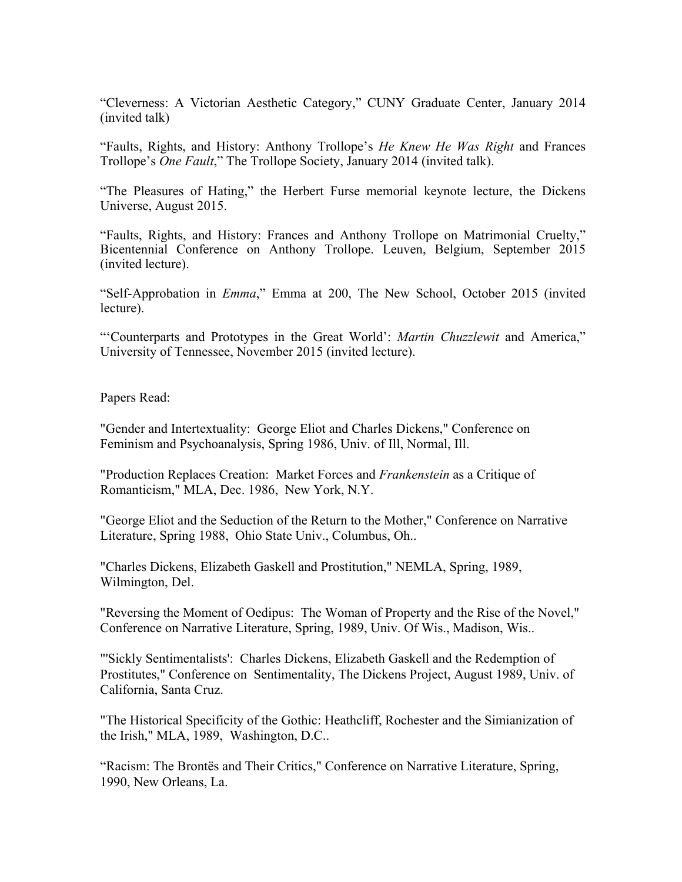"Cleverness: A Victorian Aesthetic Category," CUNY Graduate Center, January 2014 (invited talk)

"Faults, Rights, and History: Anthony Trollope's *He Knew He Was Right* and Frances Trollope's *One Fault*," The Trollope Society, January 2014 (invited talk).

"The Pleasures of Hating," the Herbert Furse memorial keynote lecture, the Dickens Universe, August 2015.

"Faults, Rights, and History: Frances and Anthony Trollope on Matrimonial Cruelty," Bicentennial Conference on Anthony Trollope. Leuven, Belgium, September 2015 (invited lecture).

"Self-Approbation in *Emma*," Emma at 200, The New School, October 2015 (invited lecture).

"'Counterparts and Prototypes in the Great World': *Martin Chuzzlewit* and America," University of Tennessee, November 2015 (invited lecture).

Papers Read:

"Gender and Intertextuality: George Eliot and Charles Dickens," Conference on Feminism and Psychoanalysis, Spring 1986, Univ. of Ill, Normal, Ill.

"Production Replaces Creation: Market Forces and *Frankenstein* as a Critique of Romanticism," MLA, Dec. 1986, New York, N.Y.

"George Eliot and the Seduction of the Return to the Mother," Conference on Narrative Literature, Spring 1988, Ohio State Univ., Columbus, Oh..

"Charles Dickens, Elizabeth Gaskell and Prostitution," NEMLA, Spring, 1989, Wilmington, Del.

"Reversing the Moment of Oedipus: The Woman of Property and the Rise of the Novel," Conference on Narrative Literature, Spring, 1989, Univ. Of Wis., Madison, Wis..

"'Sickly Sentimentalists': Charles Dickens, Elizabeth Gaskell and the Redemption of Prostitutes," Conference on Sentimentality, The Dickens Project, August 1989, Univ. of California, Santa Cruz.

"The Historical Specificity of the Gothic: Heathcliff, Rochester and the Simianization of the Irish," MLA, 1989, Washington, D.C..

"Racism: The Brontës and Their Critics," Conference on Narrative Literature, Spring, 1990, New Orleans, La.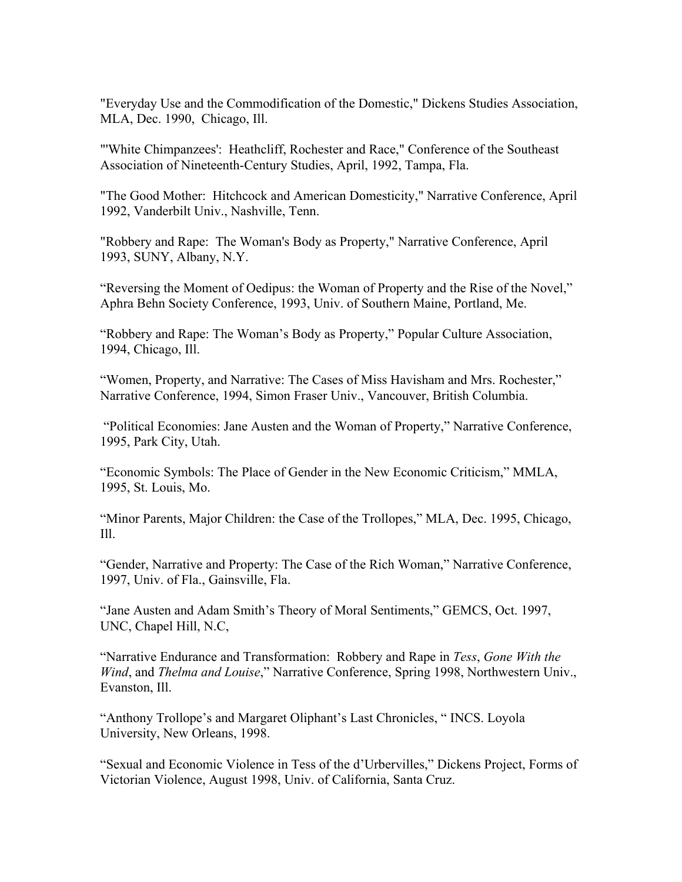"Everyday Use and the Commodification of the Domestic," Dickens Studies Association, MLA, Dec. 1990, Chicago, Ill.

"'White Chimpanzees': Heathcliff, Rochester and Race," Conference of the Southeast Association of Nineteenth-Century Studies, April, 1992, Tampa, Fla.

"The Good Mother: Hitchcock and American Domesticity," Narrative Conference, April 1992, Vanderbilt Univ., Nashville, Tenn.

"Robbery and Rape: The Woman's Body as Property," Narrative Conference, April 1993, SUNY, Albany, N.Y.

"Reversing the Moment of Oedipus: the Woman of Property and the Rise of the Novel," Aphra Behn Society Conference, 1993, Univ. of Southern Maine, Portland, Me.

"Robbery and Rape: The Woman's Body as Property," Popular Culture Association, 1994, Chicago, Ill.

"Women, Property, and Narrative: The Cases of Miss Havisham and Mrs. Rochester," Narrative Conference, 1994, Simon Fraser Univ., Vancouver, British Columbia.

"Political Economies: Jane Austen and the Woman of Property," Narrative Conference, 1995, Park City, Utah.

"Economic Symbols: The Place of Gender in the New Economic Criticism," MMLA, 1995, St. Louis, Mo.

"Minor Parents, Major Children: the Case of the Trollopes," MLA, Dec. 1995, Chicago,  $I11.$ 

"Gender, Narrative and Property: The Case of the Rich Woman," Narrative Conference, 1997, Univ. of Fla., Gainsville, Fla.

"Jane Austen and Adam Smith's Theory of Moral Sentiments," GEMCS, Oct. 1997, UNC, Chapel Hill, N.C,

"Narrative Endurance and Transformation: Robbery and Rape in *Tess*, *Gone With the Wind*, and *Thelma and Louise*," Narrative Conference, Spring 1998, Northwestern Univ., Evanston, Ill.

"Anthony Trollope's and Margaret Oliphant's Last Chronicles, " INCS. Loyola University, New Orleans, 1998.

"Sexual and Economic Violence in Tess of the d'Urbervilles," Dickens Project, Forms of Victorian Violence, August 1998, Univ. of California, Santa Cruz.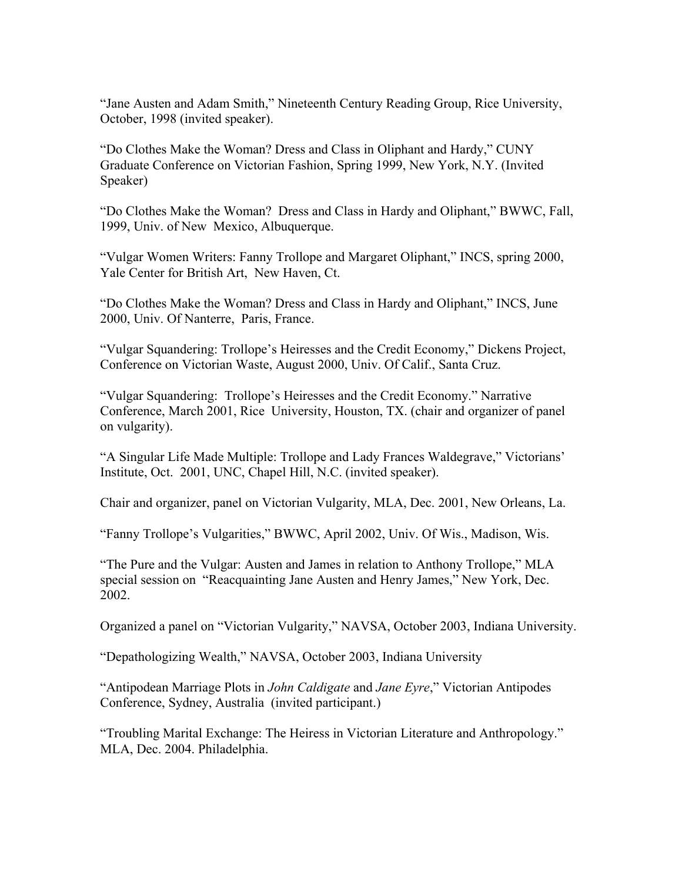"Jane Austen and Adam Smith," Nineteenth Century Reading Group, Rice University, October, 1998 (invited speaker).

"Do Clothes Make the Woman? Dress and Class in Oliphant and Hardy," CUNY Graduate Conference on Victorian Fashion, Spring 1999, New York, N.Y. (Invited Speaker)

"Do Clothes Make the Woman? Dress and Class in Hardy and Oliphant," BWWC, Fall, 1999, Univ. of New Mexico, Albuquerque.

"Vulgar Women Writers: Fanny Trollope and Margaret Oliphant," INCS, spring 2000, Yale Center for British Art, New Haven, Ct.

"Do Clothes Make the Woman? Dress and Class in Hardy and Oliphant," INCS, June 2000, Univ. Of Nanterre, Paris, France.

"Vulgar Squandering: Trollope's Heiresses and the Credit Economy," Dickens Project, Conference on Victorian Waste, August 2000, Univ. Of Calif., Santa Cruz.

"Vulgar Squandering: Trollope's Heiresses and the Credit Economy." Narrative Conference, March 2001, Rice University, Houston, TX. (chair and organizer of panel on vulgarity).

"A Singular Life Made Multiple: Trollope and Lady Frances Waldegrave," Victorians' Institute, Oct. 2001, UNC, Chapel Hill, N.C. (invited speaker).

Chair and organizer, panel on Victorian Vulgarity, MLA, Dec. 2001, New Orleans, La.

"Fanny Trollope's Vulgarities," BWWC, April 2002, Univ. Of Wis., Madison, Wis.

"The Pure and the Vulgar: Austen and James in relation to Anthony Trollope," MLA special session on "Reacquainting Jane Austen and Henry James," New York, Dec. 2002.

Organized a panel on "Victorian Vulgarity," NAVSA, October 2003, Indiana University.

"Depathologizing Wealth," NAVSA, October 2003, Indiana University

"Antipodean Marriage Plots in *John Caldigate* and *Jane Eyre*," Victorian Antipodes Conference, Sydney, Australia (invited participant.)

"Troubling Marital Exchange: The Heiress in Victorian Literature and Anthropology." MLA, Dec. 2004. Philadelphia.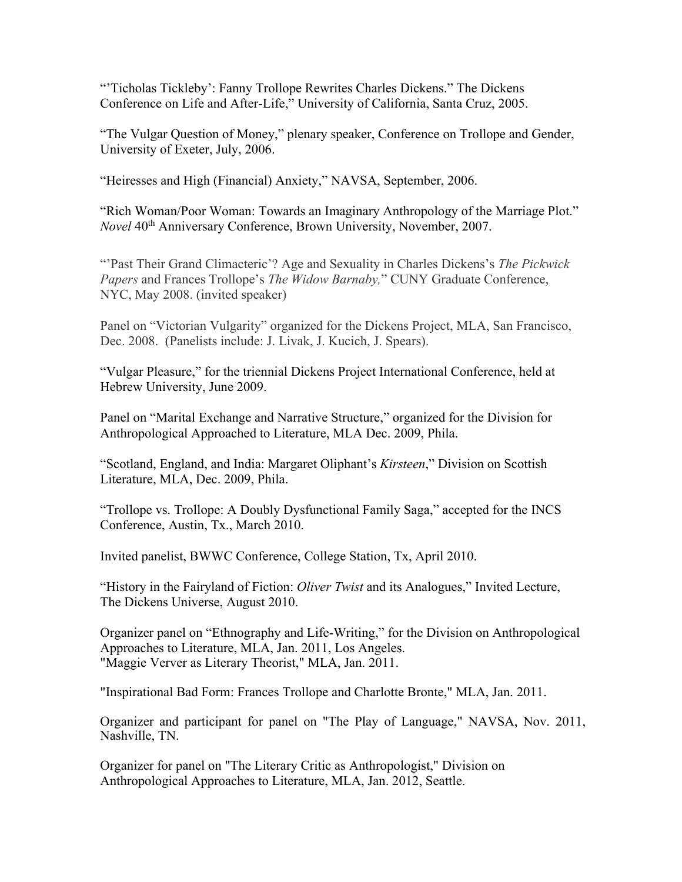"Ticholas Tickleby': Fanny Trollope Rewrites Charles Dickens." The Dickens Conference on Life and After-Life," University of California, Santa Cruz, 2005.

"The Vulgar Question of Money," plenary speaker, Conference on Trollope and Gender, University of Exeter, July, 2006.

"Heiresses and High (Financial) Anxiety," NAVSA, September, 2006.

"Rich Woman/Poor Woman: Towards an Imaginary Anthropology of the Marriage Plot." *Novel* 40<sup>th</sup> Anniversary Conference, Brown University, November, 2007.

"'Past Their Grand Climacteric'? Age and Sexuality in Charles Dickens's *The Pickwick Papers* and Frances Trollope's *The Widow Barnaby,*" CUNY Graduate Conference, NYC, May 2008. (invited speaker)

Panel on "Victorian Vulgarity" organized for the Dickens Project, MLA, San Francisco, Dec. 2008. (Panelists include: J. Livak, J. Kucich, J. Spears).

"Vulgar Pleasure," for the triennial Dickens Project International Conference, held at Hebrew University, June 2009.

Panel on "Marital Exchange and Narrative Structure," organized for the Division for Anthropological Approached to Literature, MLA Dec. 2009, Phila.

"Scotland, England, and India: Margaret Oliphant's *Kirsteen*," Division on Scottish Literature, MLA, Dec. 2009, Phila.

"Trollope vs. Trollope: A Doubly Dysfunctional Family Saga," accepted for the INCS Conference, Austin, Tx., March 2010.

Invited panelist, BWWC Conference, College Station, Tx, April 2010.

"History in the Fairyland of Fiction: *Oliver Twist* and its Analogues," Invited Lecture, The Dickens Universe, August 2010.

Organizer panel on "Ethnography and Life-Writing," for the Division on Anthropological Approaches to Literature, MLA, Jan. 2011, Los Angeles. "Maggie Verver as Literary Theorist," MLA, Jan. 2011.

"Inspirational Bad Form: Frances Trollope and Charlotte Bronte," MLA, Jan. 2011.

Organizer and participant for panel on "The Play of Language," NAVSA, Nov. 2011, Nashville, TN.

Organizer for panel on "The Literary Critic as Anthropologist," Division on Anthropological Approaches to Literature, MLA, Jan. 2012, Seattle.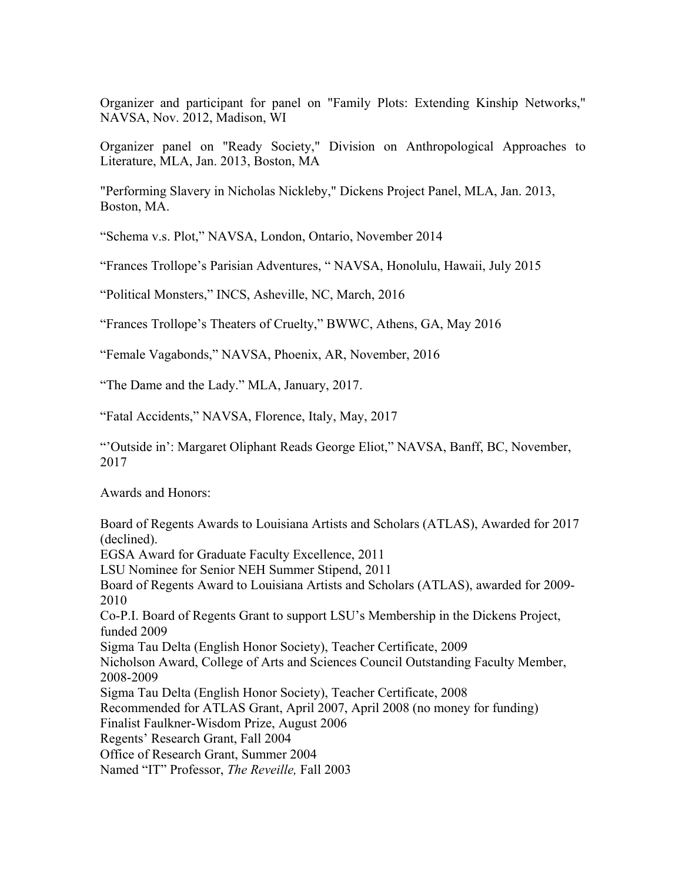Organizer and participant for panel on "Family Plots: Extending Kinship Networks," NAVSA, Nov. 2012, Madison, WI

Organizer panel on "Ready Society," Division on Anthropological Approaches to Literature, MLA, Jan. 2013, Boston, MA

"Performing Slavery in Nicholas Nickleby," Dickens Project Panel, MLA, Jan. 2013, Boston, MA.

"Schema v.s. Plot," NAVSA, London, Ontario, November 2014

"Frances Trollope's Parisian Adventures, " NAVSA, Honolulu, Hawaii, July 2015

"Political Monsters," INCS, Asheville, NC, March, 2016

"Frances Trollope's Theaters of Cruelty," BWWC, Athens, GA, May 2016

"Female Vagabonds," NAVSA, Phoenix, AR, November, 2016

"The Dame and the Lady." MLA, January, 2017.

"Fatal Accidents," NAVSA, Florence, Italy, May, 2017

"'Outside in': Margaret Oliphant Reads George Eliot," NAVSA, Banff, BC, November, 2017

Awards and Honors:

Board of Regents Awards to Louisiana Artists and Scholars (ATLAS), Awarded for 2017 (declined). EGSA Award for Graduate Faculty Excellence, 2011 LSU Nominee for Senior NEH Summer Stipend, 2011 Board of Regents Award to Louisiana Artists and Scholars (ATLAS), awarded for 2009- 2010 Co-P.I. Board of Regents Grant to support LSU's Membership in the Dickens Project, funded 2009 Sigma Tau Delta (English Honor Society), Teacher Certificate, 2009 Nicholson Award, College of Arts and Sciences Council Outstanding Faculty Member, 2008-2009 Sigma Tau Delta (English Honor Society), Teacher Certificate, 2008 Recommended for ATLAS Grant, April 2007, April 2008 (no money for funding) Finalist Faulkner-Wisdom Prize, August 2006 Regents' Research Grant, Fall 2004 Office of Research Grant, Summer 2004 Named "IT" Professor, *The Reveille,* Fall 2003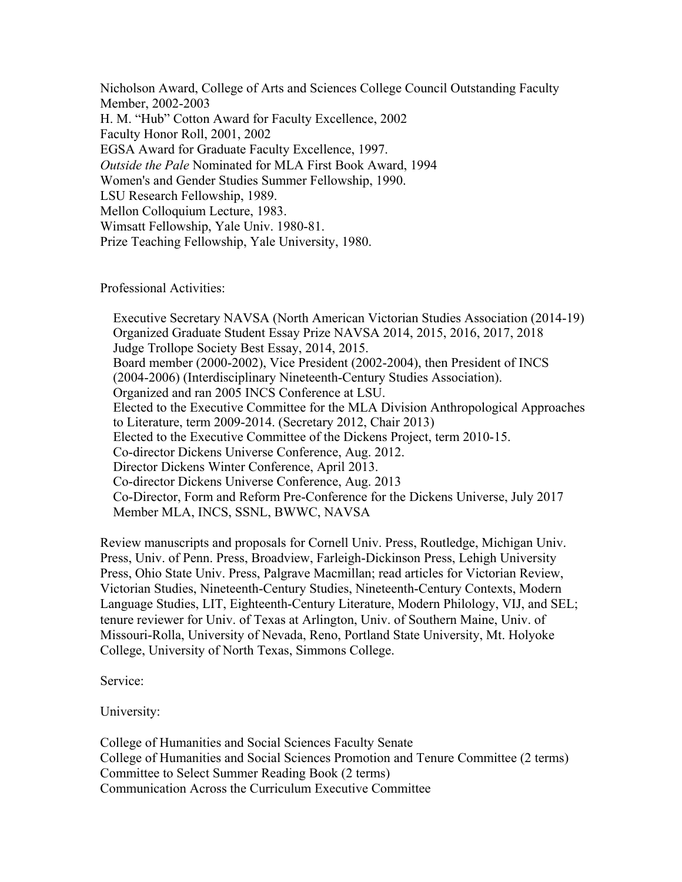Nicholson Award, College of Arts and Sciences College Council Outstanding Faculty Member, 2002-2003 H. M. "Hub" Cotton Award for Faculty Excellence, 2002 Faculty Honor Roll, 2001, 2002 EGSA Award for Graduate Faculty Excellence, 1997. *Outside the Pale* Nominated for MLA First Book Award, 1994 Women's and Gender Studies Summer Fellowship, 1990. LSU Research Fellowship, 1989. Mellon Colloquium Lecture, 1983. Wimsatt Fellowship, Yale Univ. 1980-81. Prize Teaching Fellowship, Yale University, 1980.

Professional Activities:

Executive Secretary NAVSA (North American Victorian Studies Association (2014-19) Organized Graduate Student Essay Prize NAVSA 2014, 2015, 2016, 2017, 2018 Judge Trollope Society Best Essay, 2014, 2015. Board member (2000-2002), Vice President (2002-2004), then President of INCS (2004-2006) (Interdisciplinary Nineteenth-Century Studies Association). Organized and ran 2005 INCS Conference at LSU. Elected to the Executive Committee for the MLA Division Anthropological Approaches to Literature, term 2009-2014. (Secretary 2012, Chair 2013) Elected to the Executive Committee of the Dickens Project, term 2010-15. Co-director Dickens Universe Conference, Aug. 2012. Director Dickens Winter Conference, April 2013. Co-director Dickens Universe Conference, Aug. 2013 Co-Director, Form and Reform Pre-Conference for the Dickens Universe, July 2017 Member MLA, INCS, SSNL, BWWC, NAVSA

Review manuscripts and proposals for Cornell Univ. Press, Routledge, Michigan Univ. Press, Univ. of Penn. Press, Broadview, Farleigh-Dickinson Press, Lehigh University Press, Ohio State Univ. Press, Palgrave Macmillan; read articles for Victorian Review, Victorian Studies, Nineteenth-Century Studies, Nineteenth-Century Contexts, Modern Language Studies, LIT, Eighteenth-Century Literature, Modern Philology, VIJ, and SEL; tenure reviewer for Univ. of Texas at Arlington, Univ. of Southern Maine, Univ. of Missouri-Rolla, University of Nevada, Reno, Portland State University, Mt. Holyoke College, University of North Texas, Simmons College.

Service:

University:

College of Humanities and Social Sciences Faculty Senate College of Humanities and Social Sciences Promotion and Tenure Committee (2 terms) Committee to Select Summer Reading Book (2 terms) Communication Across the Curriculum Executive Committee